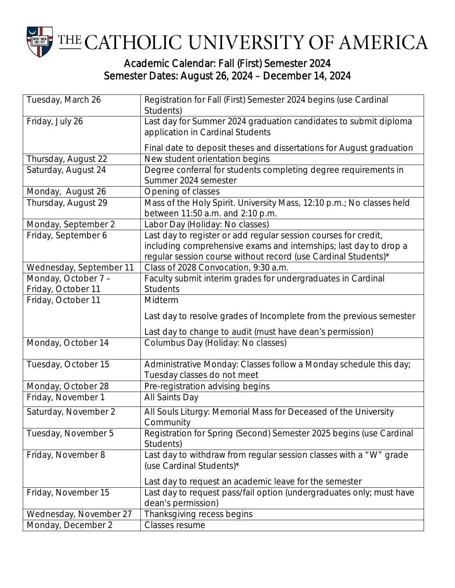

## Academic Calendar: Fall (First) Semester 2024 Semester Dates: August 26, 2024 – December 14, 2024

| Tuesday, March 26       | Registration for Fall (First) Semester 2024 begins (use Cardinal<br>Students)                                                                                                                          |
|-------------------------|--------------------------------------------------------------------------------------------------------------------------------------------------------------------------------------------------------|
| Friday, July 26         | Last day for Summer 2024 graduation candidates to submit diploma<br>application in Cardinal Students                                                                                                   |
|                         | Final date to deposit theses and dissertations for August graduation                                                                                                                                   |
| Thursday, August 22     | New student orientation begins                                                                                                                                                                         |
| Saturday, August 24     | Degree conferral for students completing degree requirements in<br>Summer 2024 semester                                                                                                                |
| Monday, August 26       | Opening of classes                                                                                                                                                                                     |
| Thursday, August 29     | Mass of the Holy Spirit. University Mass, 12:10 p.m.; No classes held<br>between 11:50 a.m. and 2:10 p.m.                                                                                              |
| Monday, September 2     | Labor Day (Holiday: No classes)                                                                                                                                                                        |
| Friday, September 6     | Last day to register or add regular session courses for credit,<br>including comprehensive exams and internships; last day to drop a<br>regular session course without record (use Cardinal Students)* |
| Wednesday, September 11 | Class of 2028 Convocation, 9:30 a.m.                                                                                                                                                                   |
| Monday, October 7 -     | Faculty submit interim grades for undergraduates in Cardinal                                                                                                                                           |
| Friday, October 11      | <b>Students</b>                                                                                                                                                                                        |
| Friday, October 11      | Midterm                                                                                                                                                                                                |
|                         | Last day to resolve grades of Incomplete from the previous semester                                                                                                                                    |
|                         | Last day to change to audit (must have dean's permission)                                                                                                                                              |
| Monday, October 14      | Columbus Day (Holiday: No classes)                                                                                                                                                                     |
| Tuesday, October 15     | Administrative Monday: Classes follow a Monday schedule this day;<br>Tuesday classes do not meet                                                                                                       |
| Monday, October 28      | Pre-registration advising begins                                                                                                                                                                       |
| Friday, November 1      | All Saints Day                                                                                                                                                                                         |
| Saturday, November 2    | All Souls Liturgy: Memorial Mass for Deceased of the University<br>Community                                                                                                                           |
| Tuesday, November 5     | Registration for Spring (Second) Semester 2025 begins (use Cardinal<br>Students)                                                                                                                       |
| Friday, November 8      | Last day to withdraw from regular session classes with a "W" grade<br>(use Cardinal Students)*                                                                                                         |
|                         | Last day to request an academic leave for the semester                                                                                                                                                 |
| Friday, November 15     | Last day to request pass/fail option (undergraduates only; must have                                                                                                                                   |
|                         | dean's permission)                                                                                                                                                                                     |
| Wednesday, November 27  | Thanksgiving recess begins                                                                                                                                                                             |
| Monday, December 2      | Classes resume                                                                                                                                                                                         |